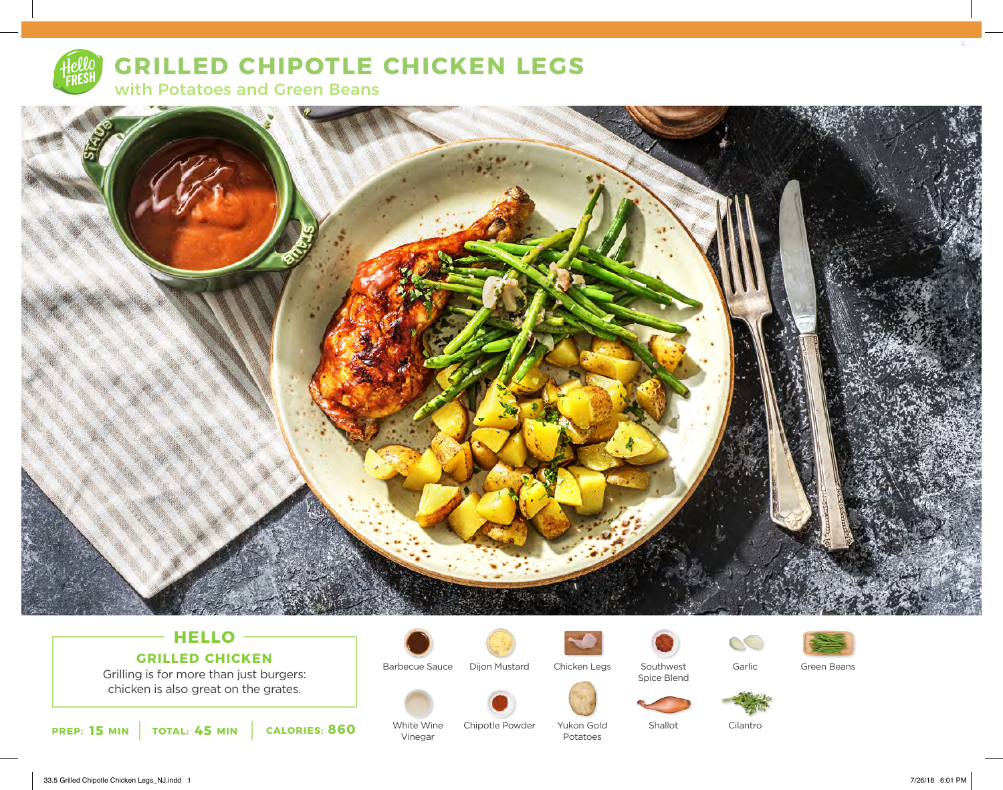

# **GRILLED CHIPOTLE CHICKEN LEGS**

with Potatoes and Green Beans



## **HELLO GRILLED CHICKEN**

Grilling is for more than just burgers: chicken is also great on the grates.





Vinegar



Chipotle Powder

Barbecue Sauce Dijon Mustard



Yukon Gold Potatoes

Spice Blend





Southwest

Shallot







Garlic

S

Cilantro

33.5 Grilled Chipotle Chicken Legs\_NJ.indd 1 7/26/18 6:01 PM